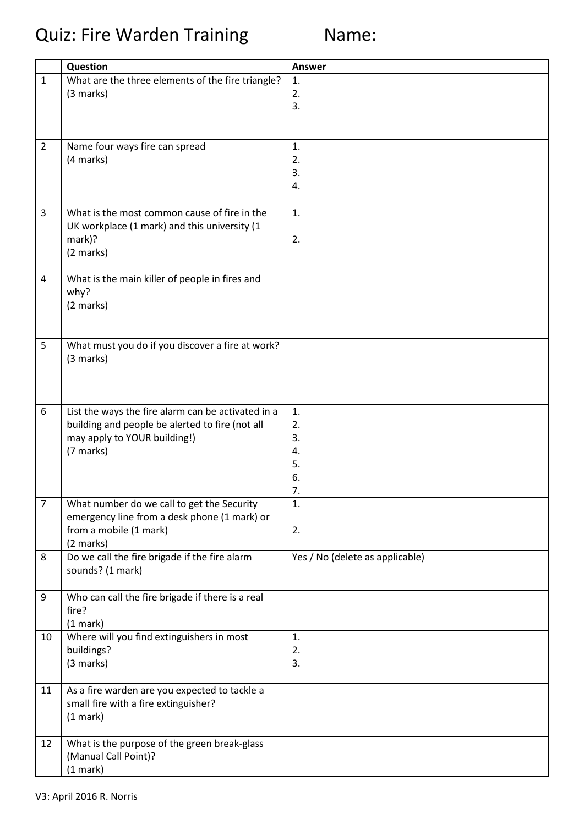Quiz: Fire Warden Training Mame:

|                | Question                                           | Answer                          |
|----------------|----------------------------------------------------|---------------------------------|
| $\mathbf{1}$   | What are the three elements of the fire triangle?  | 1.                              |
|                | (3 marks)                                          | 2.                              |
|                |                                                    | 3.                              |
|                |                                                    |                                 |
|                |                                                    |                                 |
| $\overline{2}$ | Name four ways fire can spread                     | 1.                              |
|                | (4 marks)                                          | 2.                              |
|                |                                                    | 3.                              |
|                |                                                    | 4.                              |
|                |                                                    |                                 |
| 3              | What is the most common cause of fire in the       | 1.                              |
|                | UK workplace (1 mark) and this university (1       |                                 |
|                | mark)?                                             | 2.                              |
|                | (2 marks)                                          |                                 |
|                |                                                    |                                 |
| 4              | What is the main killer of people in fires and     |                                 |
|                | why?                                               |                                 |
|                | (2 marks)                                          |                                 |
|                |                                                    |                                 |
| 5              | What must you do if you discover a fire at work?   |                                 |
|                | (3 marks)                                          |                                 |
|                |                                                    |                                 |
|                |                                                    |                                 |
|                |                                                    |                                 |
| 6              | List the ways the fire alarm can be activated in a | 1.                              |
|                | building and people be alerted to fire (not all    | 2.                              |
|                | may apply to YOUR building!)                       | 3.                              |
|                | (7 marks)                                          | 4.                              |
|                |                                                    | 5.                              |
|                |                                                    | 6.                              |
|                |                                                    | 7.                              |
| $\overline{7}$ | What number do we call to get the Security         | 1.                              |
|                | emergency line from a desk phone (1 mark) or       |                                 |
|                | from a mobile (1 mark)                             | 2.                              |
|                | (2 marks)                                          |                                 |
| 8              | Do we call the fire brigade if the fire alarm      | Yes / No (delete as applicable) |
|                | sounds? (1 mark)                                   |                                 |
|                |                                                    |                                 |
| 9              | Who can call the fire brigade if there is a real   |                                 |
|                | fire?                                              |                                 |
|                | (1 mark)                                           |                                 |
| 10             | Where will you find extinguishers in most          | 1.                              |
|                | buildings?                                         | 2.                              |
|                | (3 marks)                                          | 3.                              |
| 11             | As a fire warden are you expected to tackle a      |                                 |
|                | small fire with a fire extinguisher?               |                                 |
|                | (1 mark)                                           |                                 |
|                |                                                    |                                 |
| 12             | What is the purpose of the green break-glass       |                                 |
|                | (Manual Call Point)?                               |                                 |
|                | (1 mark)                                           |                                 |